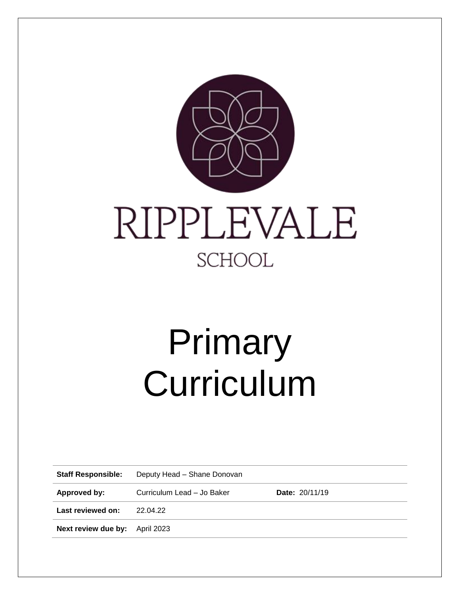

# Primary Curriculum

| <b>Staff Responsible:</b>             | Deputy Head - Shane Donovan |                       |
|---------------------------------------|-----------------------------|-----------------------|
| Approved by:                          | Curriculum Lead - Jo Baker  | <b>Date: 20/11/19</b> |
| Last reviewed on:                     | 22.04.22                    |                       |
| <b>Next review due by:</b> April 2023 |                             |                       |
|                                       |                             |                       |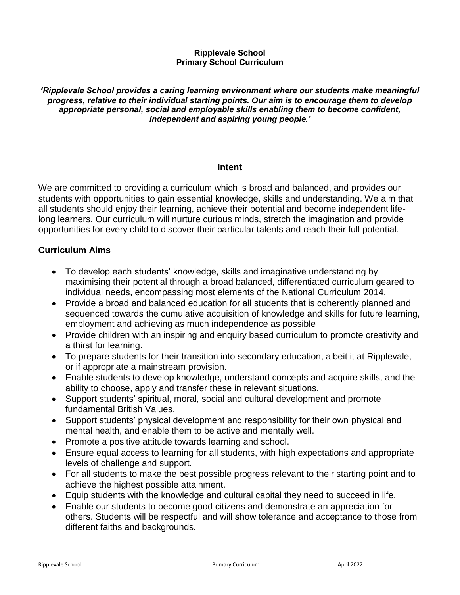# **Ripplevale School Primary School Curriculum**

*'Ripplevale School provides a caring learning environment where our students make meaningful progress, relative to their individual starting points. Our aim is to encourage them to develop appropriate personal, social and employable skills enabling them to become confident, independent and aspiring young people.'*

# **Intent**

We are committed to providing a curriculum which is broad and balanced, and provides our students with opportunities to gain essential knowledge, skills and understanding. We aim that all students should enjoy their learning, achieve their potential and become independent lifelong learners. Our curriculum will nurture curious minds, stretch the imagination and provide opportunities for every child to discover their particular talents and reach their full potential.

# **Curriculum Aims**

- To develop each students' knowledge, skills and imaginative understanding by maximising their potential through a broad balanced, differentiated curriculum geared to individual needs, encompassing most elements of the National Curriculum 2014.
- Provide a broad and balanced education for all students that is coherently planned and sequenced towards the cumulative acquisition of knowledge and skills for future learning, employment and achieving as much independence as possible
- Provide children with an inspiring and enquiry based curriculum to promote creativity and a thirst for learning.
- To prepare students for their transition into secondary education, albeit it at Ripplevale, or if appropriate a mainstream provision.
- Enable students to develop knowledge, understand concepts and acquire skills, and the ability to choose, apply and transfer these in relevant situations.
- Support students' spiritual, moral, social and cultural development and promote fundamental British Values.
- Support students' physical development and responsibility for their own physical and mental health, and enable them to be active and mentally well.
- Promote a positive attitude towards learning and school.
- Ensure equal access to learning for all students, with high expectations and appropriate levels of challenge and support.
- For all students to make the best possible progress relevant to their starting point and to achieve the highest possible attainment.
- Equip students with the knowledge and cultural capital they need to succeed in life.
- Enable our students to become good citizens and demonstrate an appreciation for others. Students will be respectful and will show tolerance and acceptance to those from different faiths and backgrounds.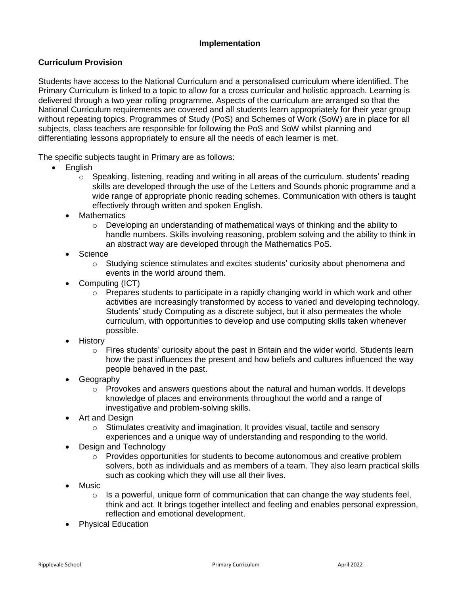# **Implementation**

# **Curriculum Provision**

Students have access to the National Curriculum and a personalised curriculum where identified. The Primary Curriculum is linked to a topic to allow for a cross curricular and holistic approach. Learning is delivered through a two year rolling programme. Aspects of the curriculum are arranged so that the National Curriculum requirements are covered and all students learn appropriately for their year group without repeating topics. Programmes of Study (PoS) and Schemes of Work (SoW) are in place for all subjects, class teachers are responsible for following the PoS and SoW whilst planning and differentiating lessons appropriately to ensure all the needs of each learner is met.

The specific subjects taught in Primary are as follows:

- English
	- $\circ$  Speaking, listening, reading and writing in all areas of the curriculum. students' reading skills are developed through the use of the Letters and Sounds phonic programme and a wide range of appropriate phonic reading schemes. Communication with others is taught effectively through written and spoken English.
	- **Mathematics** 
		- $\circ$  Developing an understanding of mathematical ways of thinking and the ability to handle numbers. Skills involving reasoning, problem solving and the ability to think in an abstract way are developed through the Mathematics PoS.
	- **Science** 
		- o Studying science stimulates and excites students' curiosity about phenomena and events in the world around them.
	- Computing (ICT)
		- $\circ$  Prepares students to participate in a rapidly changing world in which work and other activities are increasingly transformed by access to varied and developing technology. Students' study Computing as a discrete subject, but it also permeates the whole curriculum, with opportunities to develop and use computing skills taken whenever possible.
	- History
		- $\circ$  Fires students' curiosity about the past in Britain and the wider world. Students learn how the past influences the present and how beliefs and cultures influenced the way people behaved in the past.
	- Geography
		- $\circ$  Provokes and answers questions about the natural and human worlds. It develops knowledge of places and environments throughout the world and a range of investigative and problem-solving skills.
	- Art and Design
		- $\circ$  Stimulates creativity and imagination. It provides visual, tactile and sensory experiences and a unique way of understanding and responding to the world.
	- Design and Technology
		- $\circ$  Provides opportunities for students to become autonomous and creative problem solvers, both as individuals and as members of a team. They also learn practical skills such as cooking which they will use all their lives.
	- Music
		- $\circ$  Is a powerful, unique form of communication that can change the way students feel, think and act. It brings together intellect and feeling and enables personal expression, reflection and emotional development.
	- Physical Education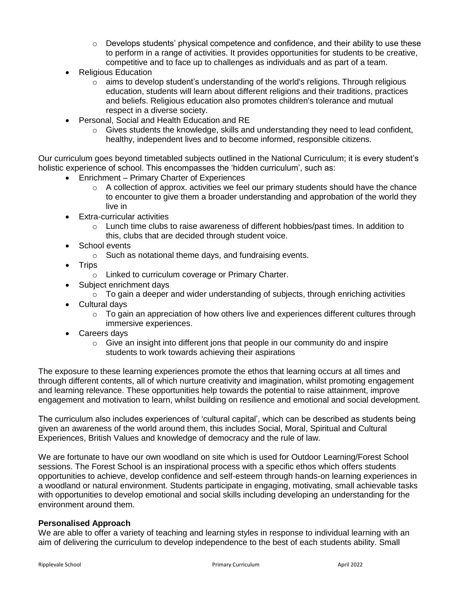- $\circ$  Develops students' physical competence and confidence, and their ability to use these to perform in a range of activities. It provides opportunities for students to be creative, competitive and to face up to challenges as individuals and as part of a team.
- Religious Education
	- $\circ$  aims to develop student's understanding of the world's religions. Through religious education, students will learn about different religions and their traditions, practices and beliefs. Religious education also promotes children's tolerance and mutual respect in a diverse society.
- Personal, Social and Health Education and RE
	- $\circ$  Gives students the knowledge, skills and understanding they need to lead confident, healthy, independent lives and to become informed, responsible citizens.

Our curriculum goes beyond timetabled subjects outlined in the National Curriculum; it is every student's holistic experience of school. This encompasses the 'hidden curriculum', such as:

- Enrichment Primary Charter of Experiences
	- $\circ$  A collection of approx. activities we feel our primary students should have the chance to encounter to give them a broader understanding and approbation of the world they live in
- Extra-curricular activities
	- $\circ$  Lunch time clubs to raise awareness of different hobbies/past times. In addition to this, clubs that are decided through student voice.
- School events
	- o Such as notational theme days, and fundraising events.
- Trips
	- o Linked to curriculum coverage or Primary Charter.
- Subject enrichment days
	- $\circ$  To gain a deeper and wider understanding of subjects, through enriching activities
- Cultural days
	- $\circ$  To gain an appreciation of how others live and experiences different cultures through immersive experiences.
- Careers days
	- $\circ$  Give an insight into different jons that people in our community do and inspire students to work towards achieving their aspirations

The exposure to these learning experiences promote the ethos that learning occurs at all times and through different contents, all of which nurture creativity and imagination, whilst promoting engagement and learning relevance. These opportunities help towards the potential to raise attainment, improve engagement and motivation to learn, whilst building on resilience and emotional and social development.

The curriculum also includes experiences of 'cultural capital', which can be described as students being given an awareness of the world around them, this includes Social, Moral, Spiritual and Cultural Experiences, British Values and knowledge of democracy and the rule of law.

We are fortunate to have our own woodland on site which is used for Outdoor Learning/Forest School sessions. The Forest School is an inspirational process with a specific ethos which offers students opportunities to achieve, develop confidence and self-esteem through hands-on learning experiences in a woodland or natural environment. Students participate in engaging, motivating, small achievable tasks with opportunities to develop emotional and social skills including developing an understanding for the environment around them.

### **Personalised Approach**

We are able to offer a variety of teaching and learning styles in response to individual learning with an aim of delivering the curriculum to develop independence to the best of each students ability. Small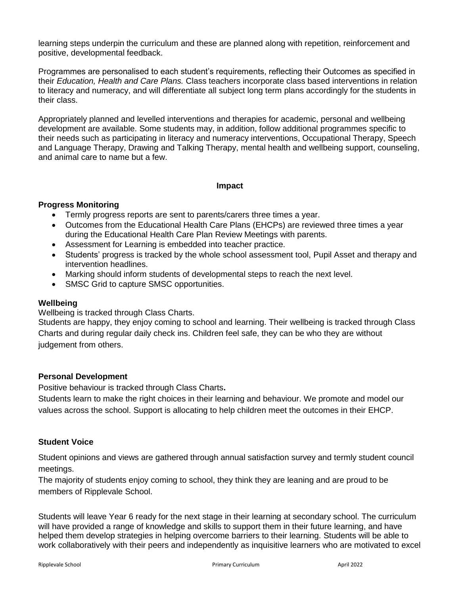learning steps underpin the curriculum and these are planned along with repetition, reinforcement and positive, developmental feedback.

Programmes are personalised to each student's requirements, reflecting their Outcomes as specified in their *Education, Health and Care Plans.* Class teachers incorporate class based interventions in relation to literacy and numeracy, and will differentiate all subject long term plans accordingly for the students in their class.

Appropriately planned and levelled interventions and therapies for academic, personal and wellbeing development are available. Some students may, in addition, follow additional programmes specific to their needs such as participating in literacy and numeracy interventions, Occupational Therapy, Speech and Language Therapy, Drawing and Talking Therapy, mental health and wellbeing support, counseling, and animal care to name but a few.

### **Impact**

### **Progress Monitoring**

- Termly progress reports are sent to parents/carers three times a year.
- Outcomes from the Educational Health Care Plans (EHCPs) are reviewed three times a year during the Educational Health Care Plan Review Meetings with parents.
- Assessment for Learning is embedded into teacher practice.
- Students' progress is tracked by the whole school assessment tool, Pupil Asset and therapy and intervention headlines.
- Marking should inform students of developmental steps to reach the next level.
- SMSC Grid to capture SMSC opportunities.

### **Wellbeing**

Wellbeing is tracked through Class Charts.

Students are happy, they enjoy coming to school and learning. Their wellbeing is tracked through Class Charts and during regular daily check ins. Children feel safe, they can be who they are without judgement from others.

### **Personal Development**

Positive behaviour is tracked through Class Charts**.** 

Students learn to make the right choices in their learning and behaviour. We promote and model our values across the school. Support is allocating to help children meet the outcomes in their EHCP.

## **Student Voice**

Student opinions and views are gathered through annual satisfaction survey and termly student council meetings.

The majority of students enjoy coming to school, they think they are leaning and are proud to be members of Ripplevale School.

Students will leave Year 6 ready for the next stage in their learning at secondary school. The curriculum will have provided a range of knowledge and skills to support them in their future learning, and have helped them develop strategies in helping overcome barriers to their learning. Students will be able to work collaboratively with their peers and independently as inquisitive learners who are motivated to excel